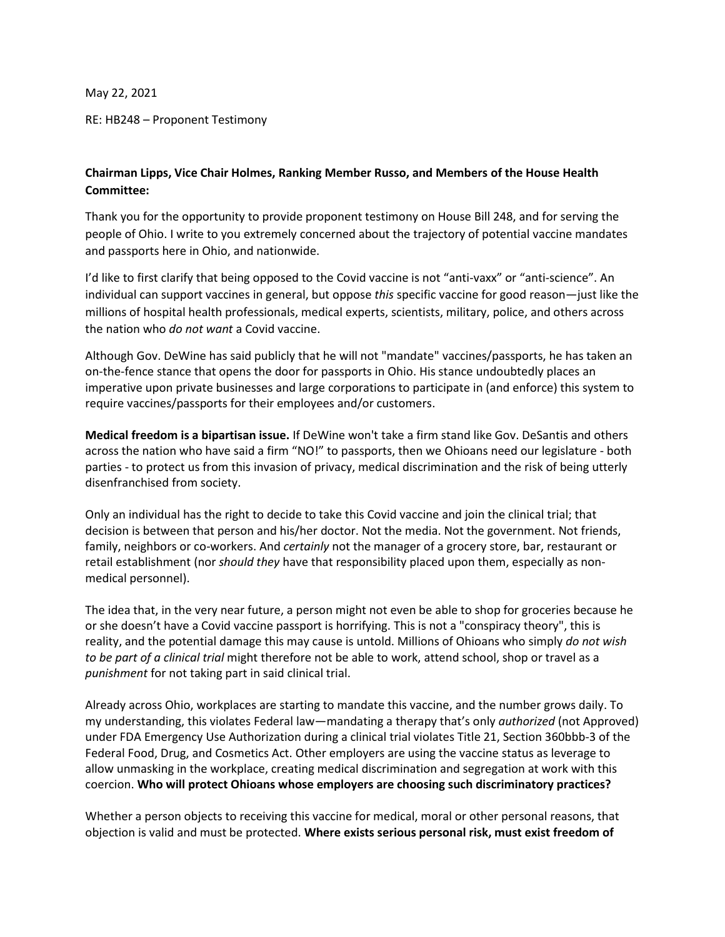May 22, 2021

RE: HB248 – Proponent Testimony

## **Chairman Lipps, Vice Chair Holmes, Ranking Member Russo, and Members of the House Health Committee:**

Thank you for the opportunity to provide proponent testimony on House Bill 248, and for serving the people of Ohio. I write to you extremely concerned about the trajectory of potential vaccine mandates and passports here in Ohio, and nationwide.

I'd like to first clarify that being opposed to the Covid vaccine is not "anti-vaxx" or "anti-science". An individual can support vaccines in general, but oppose *this* specific vaccine for good reason—just like the millions of hospital health professionals, medical experts, scientists, military, police, and others across the nation who *do not want* a Covid vaccine.

Although Gov. DeWine has said publicly that he will not "mandate" vaccines/passports, he has taken an on-the-fence stance that opens the door for passports in Ohio. His stance undoubtedly places an imperative upon private businesses and large corporations to participate in (and enforce) this system to require vaccines/passports for their employees and/or customers.

**Medical freedom is a bipartisan issue.** If DeWine won't take a firm stand like Gov. DeSantis and others across the nation who have said a firm "NO!" to passports, then we Ohioans need our legislature - both parties - to protect us from this invasion of privacy, medical discrimination and the risk of being utterly disenfranchised from society.

Only an individual has the right to decide to take this Covid vaccine and join the clinical trial; that decision is between that person and his/her doctor. Not the media. Not the government. Not friends, family, neighbors or co-workers. And *certainly* not the manager of a grocery store, bar, restaurant or retail establishment (nor *should they* have that responsibility placed upon them, especially as nonmedical personnel).

The idea that, in the very near future, a person might not even be able to shop for groceries because he or she doesn't have a Covid vaccine passport is horrifying. This is not a "conspiracy theory", this is reality, and the potential damage this may cause is untold. Millions of Ohioans who simply *do not wish to be part of a clinical trial* might therefore not be able to work, attend school, shop or travel as a *punishment* for not taking part in said clinical trial.

Already across Ohio, workplaces are starting to mandate this vaccine, and the number grows daily. To my understanding, this violates Federal law—mandating a therapy that's only *authorized* (not Approved) under FDA Emergency Use Authorization during a clinical trial violates Title 21, Section 360bbb-3 of the Federal Food, Drug, and Cosmetics Act. Other employers are using the vaccine status as leverage to allow unmasking in the workplace, creating medical discrimination and segregation at work with this coercion. **Who will protect Ohioans whose employers are choosing such discriminatory practices?**

Whether a person objects to receiving this vaccine for medical, moral or other personal reasons, that objection is valid and must be protected. **Where exists serious personal risk, must exist freedom of**